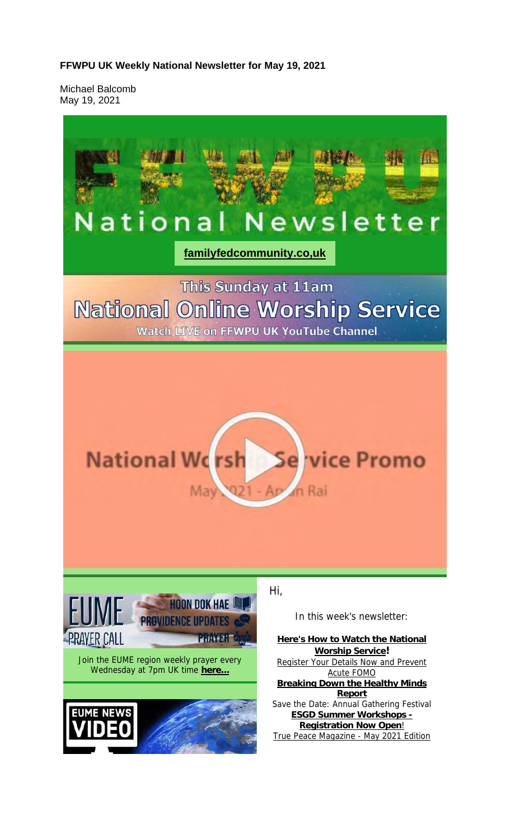#### **FFWPU UK Weekly National Newsletter for May 19, 2021**

Michael Balcomb May 19, 2021

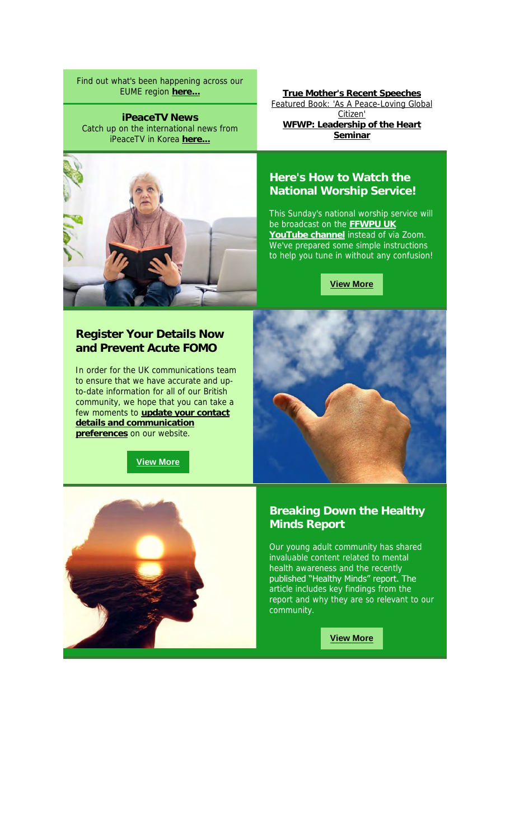Find out what's been happening across our EUME region **here...**

**iPeaceTV News** Catch up on the international news from iPeaceTV in Korea **here...**



**True Mother's Recent Speeches** Featured Book: 'As A Peace-Loving Global Citizen' **WFWP: Leadership of the Heart Seminar**

#### **Here's How to Watch the National Worship Service!**

This Sunday's national worship service will be broadcast on the **FFWPU UK YouTube channel** instead of via Zoom. We've prepared some simple instructions to help you tune in without any confusion!

**View More**

#### **Register Your Details Now and Prevent Acute FOMO**

In order for the UK communications team to ensure that we have accurate and upto-date information for all of our British community, we hope that you can take a few moments to **update your contact details and communication preferences** on our website.

**View More**





#### **Breaking Down the Healthy Minds Report**

Our young adult community has shared invaluable content related to mental health awareness and the recently published "Healthy Minds" report. The article includes key findings from the report and why they are so relevant to our community.

**View More**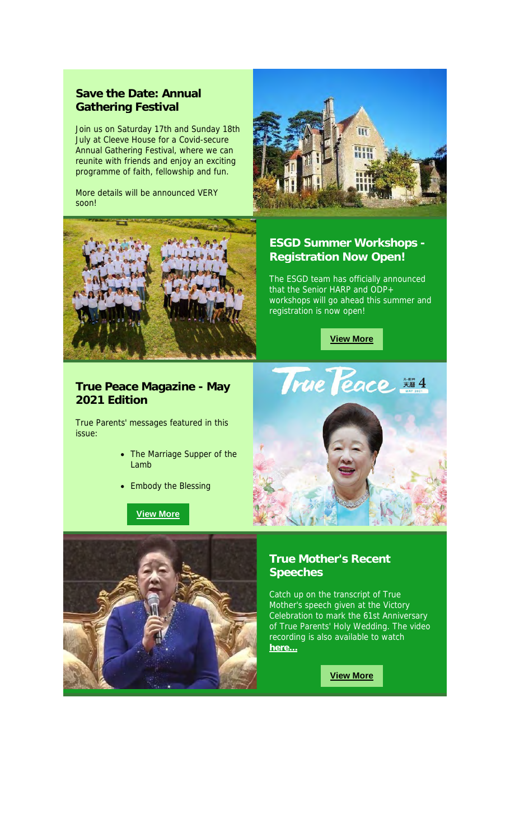#### **Save the Date: Annual Gathering Festival**

Join us on Saturday 17th and Sunday 18th July at Cleeve House for a Covid-secure Annual Gathering Festival, where we can reunite with friends and enjoy an exciting programme of faith, fellowship and fun.

More details will be announced VERY soon!





#### **ESGD Summer Workshops - Registration Now Open!**

The ESGD team has officially announced that the Senior HARP and ODP+ workshops will go ahead this summer and registration is now open!



#### **True Peace Magazine - May 2021 Edition**

True Parents' messages featured in this issue:

- The Marriage Supper of the Lamb
- Embody the Blessing

**View More**





#### **True Mother's Recent Speeches**

Catch up on the transcript of True Mother's speech given at the Victory Celebration to mark the 61st Anniversary of True Parents' Holy Wedding. The video recording is also available to watch **here...**

**View More**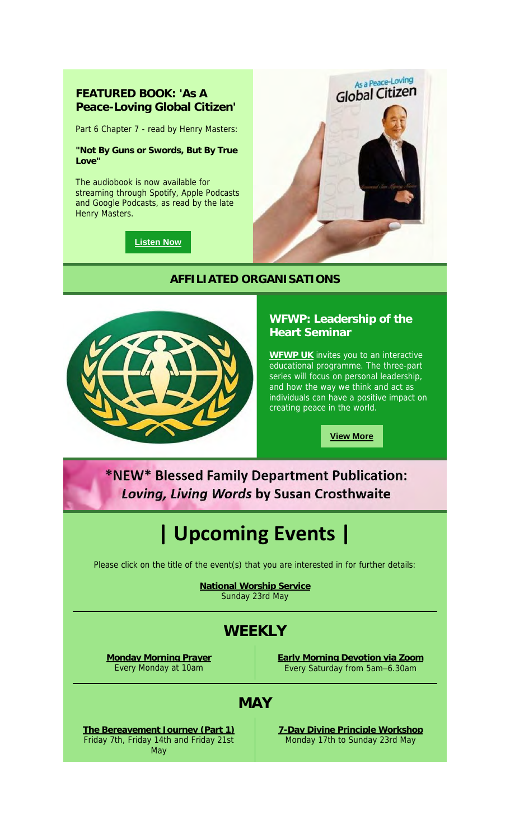#### **FEATURED BOOK: 'As A Peace-Loving Global Citizen'**

Part 6 Chapter 7 - read by Henry Masters:

**"Not By Guns or Swords, But By True Love"**

The audiobook is now available for streaming through Spotify, Apple Podcasts and Google Podcasts, as read by the late Henry Masters.



**Listen Now**

#### **AFFILIATED ORGANISATIONS**



#### **WFWP: Leadership of the Heart Seminar**

**WFWP UK** invites you to an interactive educational programme. The three-part series will focus on personal leadership, and how the way we think and act as individuals can have a positive impact on creating peace in the world.

**View More**

## \*NEW\* Blessed Family Department Publication: Loving, Living Words by Susan Crosthwaite

# **| Upcoming Events |**

Please click on the title of the event(s) that you are interested in for further details:

**National Worship Service** Sunday 23rd May

## **WEEKLY**

**Monday Morning Prayer** Every Monday at 10am

**Early Morning Devotion via Zoom** Every Saturday from 5am–6.30am

### **MAY**

**The Bereavement Journey (Part 1)** Friday 7th, Friday 14th and Friday 21st May

**7-Day Divine Principle Workshop** Monday 17th to Sunday 23rd May